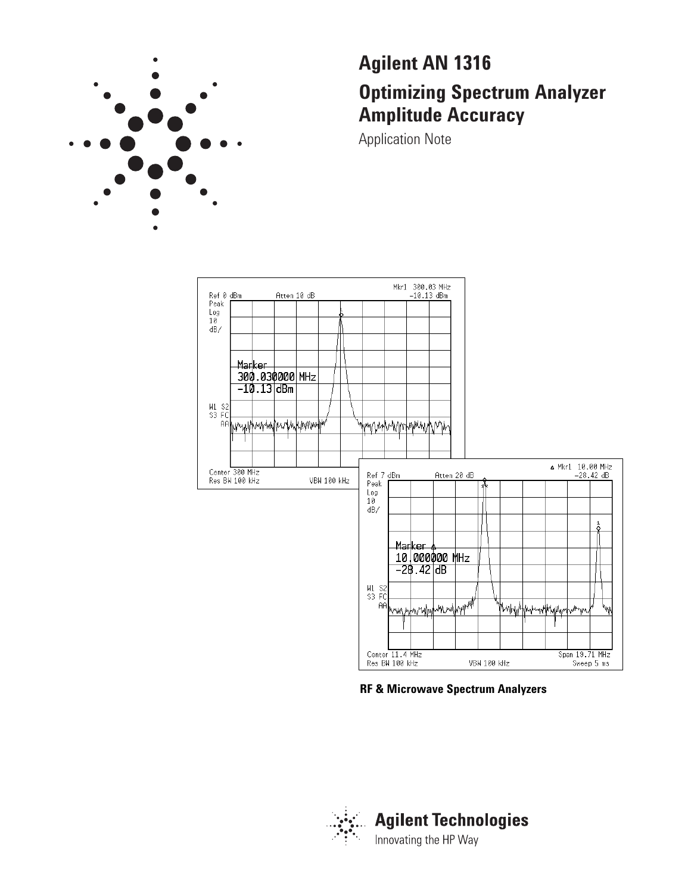

# **Agilent AN 1316 Optimizing Spectrum Analyzer Amplitude Accuracy**

Application Note



# **RF & Microwave Spectrum Analyzers**

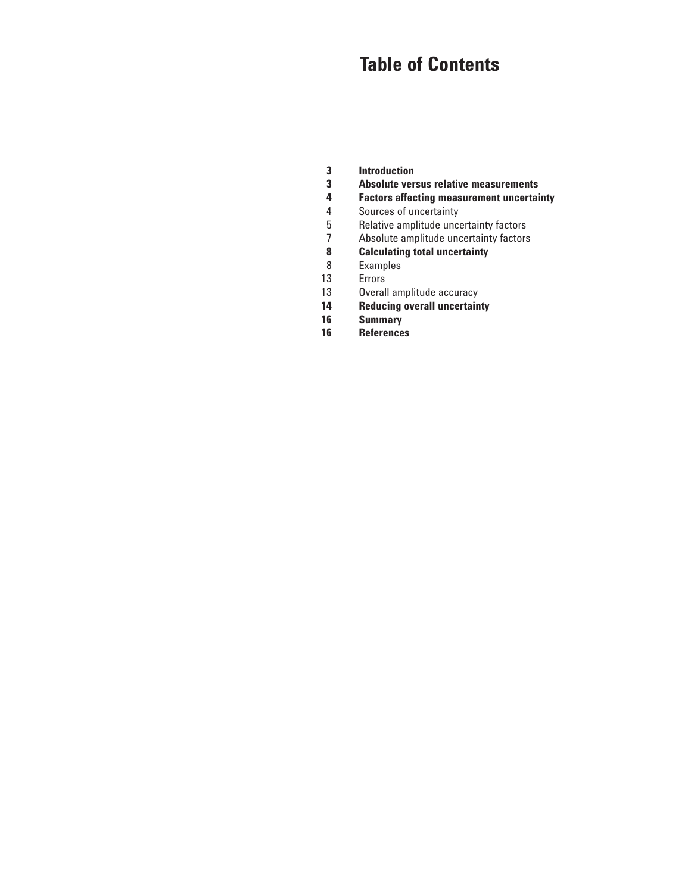# **Table of Contents**

- **3 Introduction**
- **3 Absolute versus relative measurements**
- **4 Factors affecting measurement uncertainty**
- 4 Sources of uncertainty
- 5 Relative amplitude uncertainty factors
- $\overline{7}$ Absolute amplitude uncertainty factors
- **8 Calculating total uncertainty**
- 8 Examples
- 13 Errors
- 13 Overall amplitude accuracy
- **14 Reducing overall uncertainty**
- **16 Summary**
- **16 References**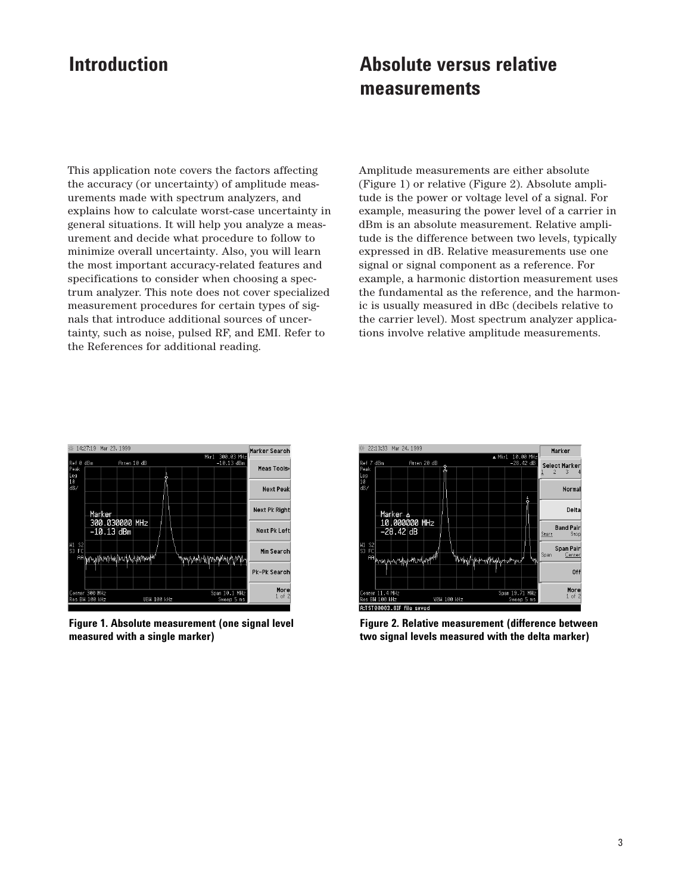# **Introduction Absolute versus relative measurements**

This application note covers the factors affecting the accuracy (or uncertainty) of amplitude measurements made with spectrum analyzers, and explains how to calculate worst-case uncertainty in general situations. It will help you analyze a measurement and decide what procedure to follow to minimize overall uncertainty. Also, you will learn the most important accuracy-related features and specifications to consider when choosing a spectrum analyzer. This note does not cover specialized measurement procedures for certain types of signals that introduce additional sources of uncertainty, such as noise, pulsed RF, and EMI. Refer to the References for additional reading.

Amplitude measurements are either absolute (Figure 1) or relative (Figure 2). Absolute amplitude is the power or voltage level of a signal. For example, measuring the power level of a carrier in dBm is an absolute measurement. Relative amplitude is the difference between two levels, typically expressed in dB. Relative measurements use one signal or signal component as a reference. For example, a harmonic distortion measurement uses the fundamental as the reference, and the harmonic is usually measured in dBc (decibels relative to the carrier level). Most spectrum analyzer applications involve relative amplitude measurements.



**Figure 1. Absolute measurement (one signal level measured with a single marker)**



**Figure 2. Relative measurement (difference between two signal levels measured with the delta marker)**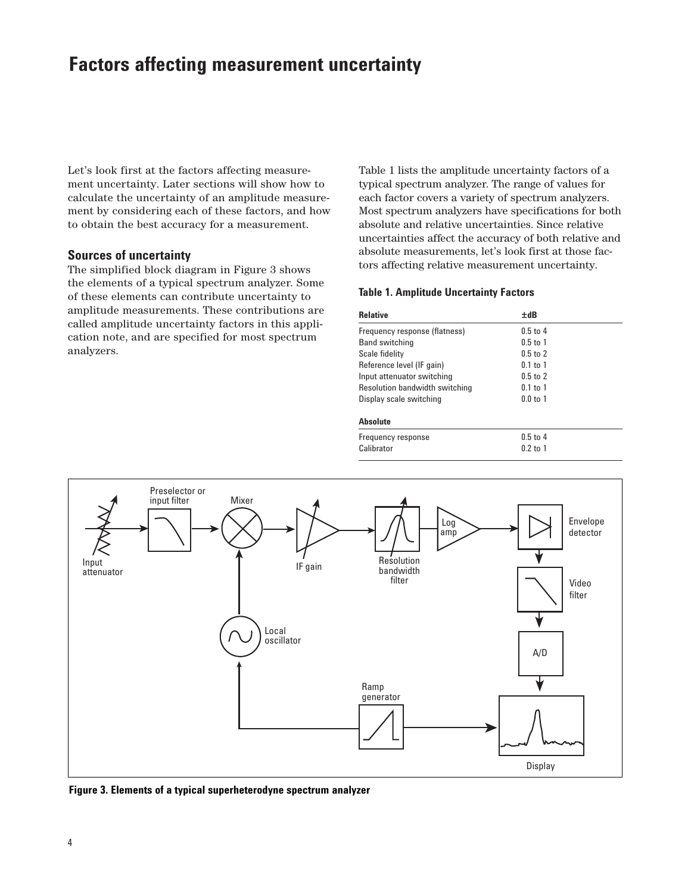# **Factors affecting measurement uncertainty**

Let's look first at the factors affecting measurement uncertainty. Later sections will show how to calculate the uncertainty of an amplitude measurement by considering each of these factors, and how to obtain the best accuracy for a measurement.

# **Sources of uncertainty**

The simplified block diagram in Figure 3 shows the elements of a typical spectrum analyzer. Some of these elements can contribute uncertainty to amplitude measurements. These contributions are called amplitude uncertainty factors in this application note, and are specified for most spectrum analyzers.

Table 1 lists the amplitude uncertainty factors of a typical spectrum analyzer. The range of values for each factor covers a variety of spectrum analyzers. Most spectrum analyzers have specifications for both absolute and relative uncertainties. Since relative uncertainties affect the accuracy of both relative and absolute measurements, let's look first at those factors affecting relative measurement uncertainty.

#### **Table 1. Amplitude Uncertainty Factors**

| Relative                       | ±dB          |  |
|--------------------------------|--------------|--|
| Frequency response (flatness)  | $0.5$ to 4   |  |
| <b>Band switching</b>          | $0.5$ to 1   |  |
| Scale fidelity                 | $0.5$ to $2$ |  |
| Reference level (IF gain)      | $0.1$ to 1   |  |
| Input attenuator switching     | $0.5$ to $2$ |  |
| Resolution bandwidth switching | $0.1$ to $1$ |  |
| Display scale switching        | $0.0$ to 1   |  |
| Absolute                       |              |  |
| Frequency response             | $0.5$ to 4   |  |
| Calibrator                     | $0.2$ to 1   |  |



**Figure 3. Elements of a typical superheterodyne spectrum analyzer**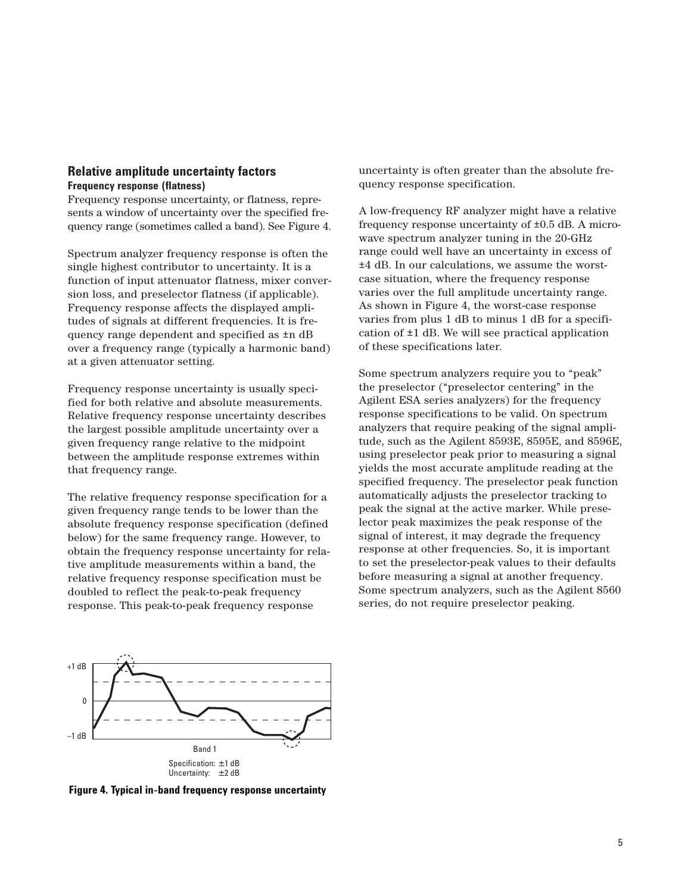### **Relative amplitude uncertainty factors Frequency response (flatness)**

Frequency response uncertainty, or flatness, represents a window of uncertainty over the specified frequency range (sometimes called a band). See Figure 4.

Spectrum analyzer frequency response is often the single highest contributor to uncertainty. It is a function of input attenuator flatness, mixer conversion loss, and preselector flatness (if applicable). Frequency response affects the displayed amplitudes of signals at different frequencies. It is frequency range dependent and specified as ±n dB over a frequency range (typically a harmonic band) at a given attenuator setting.

Frequency response uncertainty is usually specified for both relative and absolute measurements. Relative frequency response uncertainty describes the largest possible amplitude uncertainty over a given frequency range relative to the midpoint between the amplitude response extremes within that frequency range.

The relative frequency response specification for a given frequency range tends to be lower than the absolute frequency response specification (defined below) for the same frequency range. However, to obtain the frequency response uncertainty for relative amplitude measurements within a band, the relative frequency response specification must be doubled to reflect the peak-to-peak frequency response. This peak-to-peak frequency response

uncertainty is often greater than the absolute frequency response specification.

A low-frequency RF analyzer might have a relative frequency response uncertainty of ±0.5 dB. A microwave spectrum analyzer tuning in the 20-GHz range could well have an uncertainty in excess of ±4 dB. In our calculations, we assume the worstcase situation, where the frequency response varies over the full amplitude uncertainty range. As shown in Figure 4, the worst-case response varies from plus 1 dB to minus 1 dB for a specification of ±1 dB. We will see practical application of these specifications later.

Some spectrum analyzers require you to "peak" the preselector ("preselector centering" in the Agilent ESA series analyzers) for the frequency response specifications to be valid. On spectrum analyzers that require peaking of the signal amplitude, such as the Agilent 8593E, 8595E, and 8596E, using preselector peak prior to measuring a signal yields the most accurate amplitude reading at the specified frequency. The preselector peak function automatically adjusts the preselector tracking to peak the signal at the active marker. While preselector peak maximizes the peak response of the signal of interest, it may degrade the frequency response at other frequencies. So, it is important to set the preselector-peak values to their defaults before measuring a signal at another frequency. Some spectrum analyzers, such as the Agilent 8560 series, do not require preselector peaking.



**Figure 4. Typical in-band frequency response uncertainty**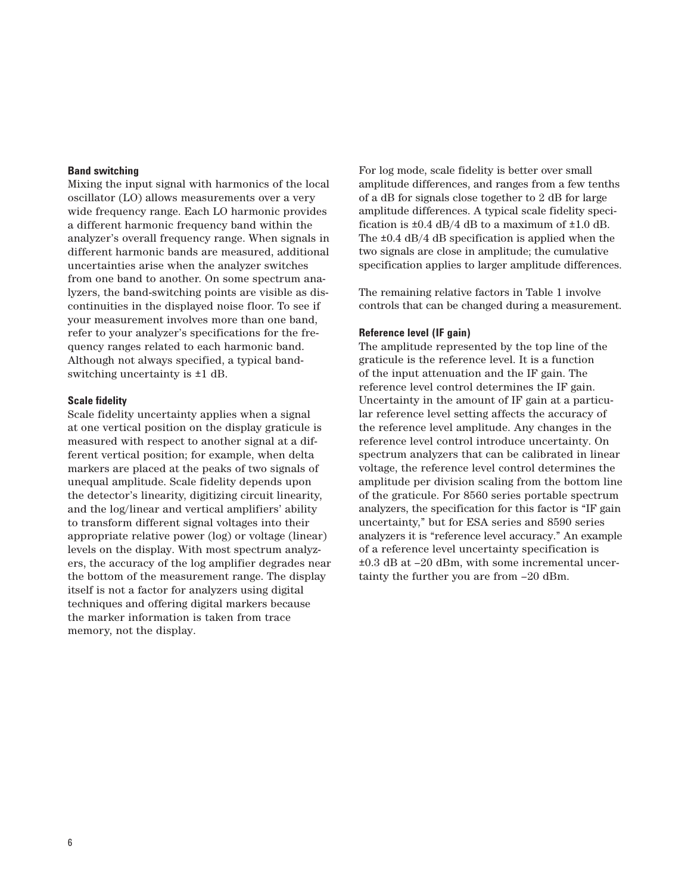#### **Band switching**

Mixing the input signal with harmonics of the local oscillator (LO) allows measurements over a very wide frequency range. Each LO harmonic provides a different harmonic frequency band within the analyzer's overall frequency range. When signals in different harmonic bands are measured, additional uncertainties arise when the analyzer switches from one band to another. On some spectrum analyzers, the band-switching points are visible as discontinuities in the displayed noise floor. To see if your measurement involves more than one band, refer to your analyzer's specifications for the frequency ranges related to each harmonic band. Although not always specified, a typical bandswitching uncertainty is ±1 dB.

#### **Scale fidelity**

Scale fidelity uncertainty applies when a signal at one vertical position on the display graticule is measured with respect to another signal at a different vertical position; for example, when delta markers are placed at the peaks of two signals of unequal amplitude. Scale fidelity depends upon the detector's linearity, digitizing circuit linearity, and the log/linear and vertical amplifiers' ability to transform different signal voltages into their appropriate relative power (log) or voltage (linear) levels on the display. With most spectrum analyzers, the accuracy of the log amplifier degrades near the bottom of the measurement range. The display itself is not a factor for analyzers using digital techniques and offering digital markers because the marker information is taken from trace memory, not the display.

For log mode, scale fidelity is better over small amplitude differences, and ranges from a few tenths of a dB for signals close together to 2 dB for large amplitude differences. A typical scale fidelity specification is  $\pm 0.4$  dB/4 dB to a maximum of  $\pm 1.0$  dB. The  $\pm 0.4$  dB/4 dB specification is applied when the two signals are close in amplitude; the cumulative specification applies to larger amplitude differences.

The remaining relative factors in Table 1 involve controls that can be changed during a measurement.

#### **Reference level (IF gain)**

The amplitude represented by the top line of the graticule is the reference level. It is a function of the input attenuation and the IF gain. The reference level control determines the IF gain. Uncertainty in the amount of IF gain at a particular reference level setting affects the accuracy of the reference level amplitude. Any changes in the reference level control introduce uncertainty. On spectrum analyzers that can be calibrated in linear voltage, the reference level control determines the amplitude per division scaling from the bottom line of the graticule. For 8560 series portable spectrum analyzers, the specification for this factor is "IF gain uncertainty," but for ESA series and 8590 series analyzers it is "reference level accuracy." An example of a reference level uncertainty specification is ±0.3 dB at –20 dBm, with some incremental uncertainty the further you are from –20 dBm.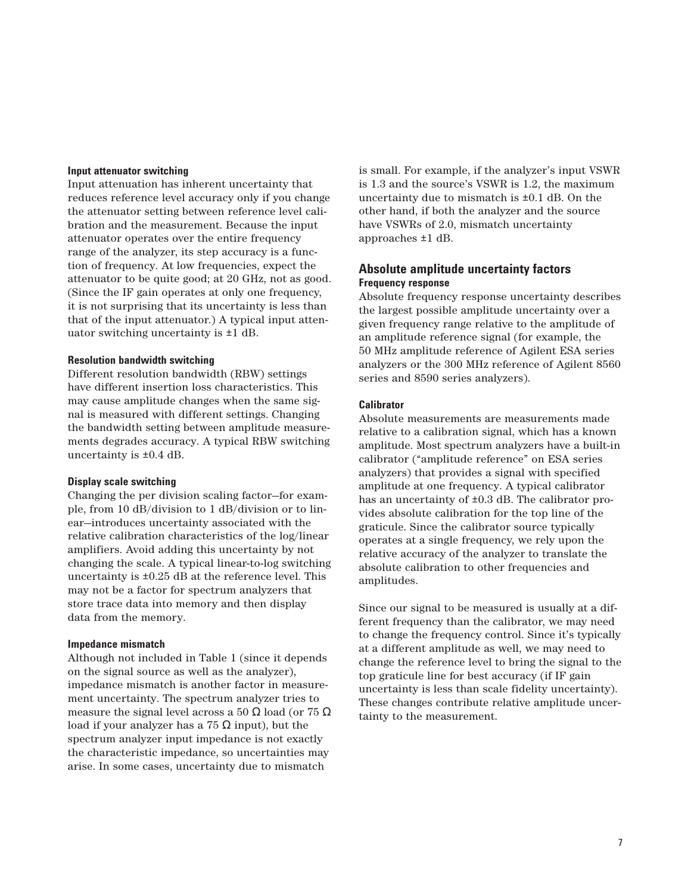### **Input attenuator switching**

Input attenuation has inherent uncertainty that reduces reference level accuracy only if you change the attenuator setting between reference level calibration and the measurement. Because the input attenuator operates over the entire frequency range of the analyzer, its step accuracy is a function of frequency. At low frequencies, expect the attenuator to be quite good; at 20 GHz, not as good. (Since the IF gain operates at only one frequency, it is not surprising that its uncertainty is less than that of the input attenuator.) A typical input attenuator switching uncertainty is ±1 dB.

#### **Resolution bandwidth switching**

Different resolution bandwidth (RBW) settings have different insertion loss characteristics. This may cause amplitude changes when the same signal is measured with different settings. Changing the bandwidth setting between amplitude measurements degrades accuracy. A typical RBW switching uncertainty is ±0.4 dB.

#### **Display scale switching**

Changing the per division scaling factor—for example, from 10 dB/division to 1 dB/division or to linear—introduces uncertainty associated with the relative calibration characteristics of the log/linear amplifiers. Avoid adding this uncertainty by not changing the scale. A typical linear-to-log switching uncertainty is  $\pm 0.25$  dB at the reference level. This may not be a factor for spectrum analyzers that store trace data into memory and then display data from the memory.

#### **Impedance mismatch**

Although not included in Table 1 (since it depends on the signal source as well as the analyzer), impedance mismatch is another factor in measurement uncertainty. The spectrum analyzer tries to measure the signal level across a 50  $\Omega$  load (or 75  $\Omega$ ) load if your analyzer has a 75 Ω input), but the spectrum analyzer input impedance is not exactly the characteristic impedance, so uncertainties may arise. In some cases, uncertainty due to mismatch

is small. For example, if the analyzer's input VSWR is 1.3 and the source's VSWR is 1.2, the maximum uncertainty due to mismatch is ±0.1 dB. On the other hand, if both the analyzer and the source have VSWRs of 2.0, mismatch uncertainty approaches ±1 dB.

# **Absolute amplitude uncertainty factors Frequency response**

Absolute frequency response uncertainty describes the largest possible amplitude uncertainty over a given frequency range relative to the amplitude of an amplitude reference signal (for example, the 50 MHz amplitude reference of Agilent ESA series analyzers or the 300 MHz reference of Agilent 8560 series and 8590 series analyzers).

#### **Calibrator**

Absolute measurements are measurements made relative to a calibration signal, which has a known amplitude. Most spectrum analyzers have a built-in calibrator ("amplitude reference" on ESA series analyzers) that provides a signal with specified amplitude at one frequency. A typical calibrator has an uncertainty of  $\pm 0.3$  dB. The calibrator provides absolute calibration for the top line of the graticule. Since the calibrator source typically operates at a single frequency, we rely upon the relative accuracy of the analyzer to translate the absolute calibration to other frequencies and amplitudes.

Since our signal to be measured is usually at a different frequency than the calibrator, we may need to change the frequency control. Since it's typically at a different amplitude as well, we may need to change the reference level to bring the signal to the top graticule line for best accuracy (if IF gain uncertainty is less than scale fidelity uncertainty). These changes contribute relative amplitude uncertainty to the measurement.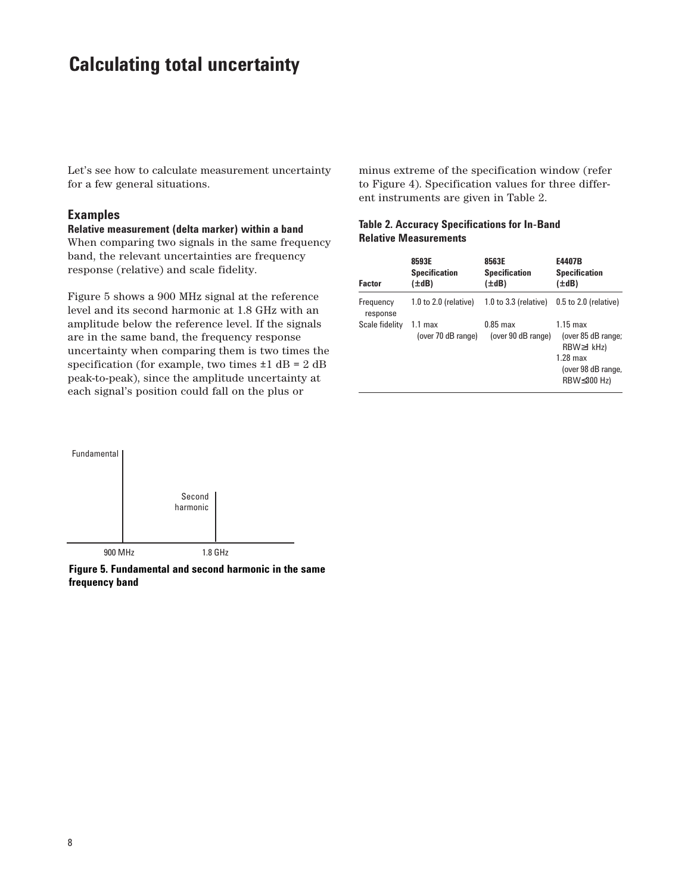# **Calculating total uncertainty**

Let's see how to calculate measurement uncertainty for a few general situations.

### **Examples**

**Relative measurement (delta marker) within a band**  When comparing two signals in the same frequency band, the relevant uncertainties are frequency response (relative) and scale fidelity.

Figure 5 shows a 900 MHz signal at the reference level and its second harmonic at 1.8 GHz with an amplitude below the reference level. If the signals are in the same band, the frequency response uncertainty when comparing them is two times the specification (for example, two times  $\pm 1$  dB = 2 dB peak-to-peak), since the amplitude uncertainty at each signal's position could fall on the plus or

minus extreme of the specification window (refer to Figure 4). Specification values for three different instruments are given in Table 2.

## **Table 2. Accuracy Specifications for In-Band Relative Measurements**

| <b>Factor</b>         | 8593E<br><b>Specification</b><br>(±dB)   | 8563E<br><b>Specification</b><br>(±dB) | E4407B<br><b>Specification</b><br>$(\pm dB)$                                                                     |
|-----------------------|------------------------------------------|----------------------------------------|------------------------------------------------------------------------------------------------------------------|
| Frequency<br>response | $1.0$ to $2.0$ (relative)                | $1.0$ to $3.3$ (relative)              | $0.5$ to $2.0$ (relative)                                                                                        |
| Scale fidelity        | 1.1 <sub>max</sub><br>(over 70 dB range) | $0.85$ max<br>(over 90 dB range)       | $1.15 \text{ max}$<br>(over 85 dB range;<br>$RBW \geq 1$ kHz)<br>$1.28$ max<br>(over 98 dB range,<br>RBW≤300 Hz) |



**Figure 5. Fundamental and second harmonic in the same frequency band**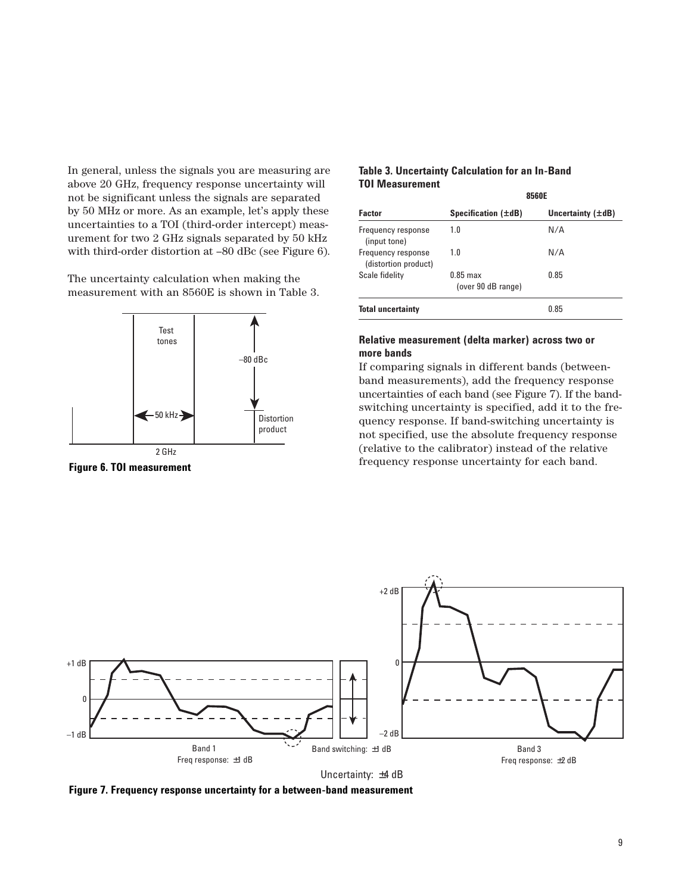In general, unless the signals you are measuring are above 20 GHz, frequency response uncertainty will not be significant unless the signals are separated by 50 MHz or more. As an example, let's apply these uncertainties to a TOI (third-order intercept) measurement for two 2 GHz signals separated by 50 kHz with third-order distortion at –80 dBc (see Figure 6).

The uncertainty calculation when making the measurement with an 8560E is shown in Table 3.



### **Table 3. Uncertainty Calculation for an In-Band TOI Measurement**

|                                            | 8560E                                    |                        |  |
|--------------------------------------------|------------------------------------------|------------------------|--|
| <b>Factor</b>                              | Specification $(\pm dB)$                 | Uncertainty $(\pm dB)$ |  |
| Frequency response<br>(input tone)         | 1.0                                      | N/A                    |  |
| Frequency response<br>(distortion product) | 1.0                                      | N/A                    |  |
| Scale fidelity                             | $0.85 \text{ max}$<br>(over 90 dB range) | 0.85                   |  |
| <b>Total uncertainty</b>                   |                                          | 0.85                   |  |

#### **Relative measurement (delta marker) across two or more bands**

If comparing signals in different bands (betweenband measurements), add the frequency response uncertainties of each band (see Figure 7). If the bandswitching uncertainty is specified, add it to the frequency response. If band-switching uncertainty is not specified, use the absolute frequency response (relative to the calibrator) instead of the relative frequency response uncertainty for each band. **Figure 6. TOI measurement**





**Figure 7. Frequency response uncertainty for a between-band measurement**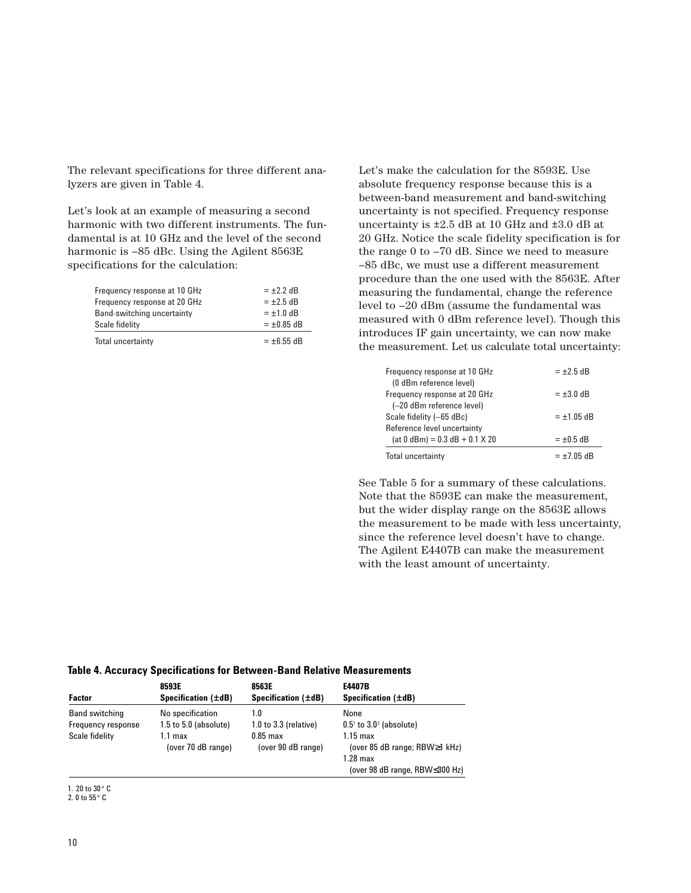The relevant specifications for three different analyzers are given in Table 4.

Let's look at an example of measuring a second harmonic with two different instruments. The fundamental is at 10 GHz and the level of the second harmonic is  $-85$  dBc. Using the Agilent 8563E specifications for the calculation:

| Total uncertainty            | $= \pm 6.55$ dB |
|------------------------------|-----------------|
| Scale fidelity               | $= \pm 0.85$ dB |
| Band-switching uncertainty   | $= \pm 1.0$ dB  |
| Frequency response at 20 GHz | $= \pm 2.5$ dB  |
| Frequency response at 10 GHz | $= \pm 2.2$ dB  |

Let's make the calculation for the 8593E. Use absolute frequency response because this is a between-band measurement and band-switching uncertainty is not specified. Frequency response uncertainty is  $\pm 2.5$  dB at 10 GHz and  $\pm 3.0$  dB at 20 GHz. Notice the scale fidelity specification is for the range 0 to –70 dB. Since we need to measure –85 dBc, we must use a different measurement procedure than the one used with the 8563E. After measuring the fundamental, change the reference level to –20 dBm (assume the fundamental was measured with 0 dBm reference level). Though this introduces IF gain uncertainty, we can now make the measurement. Let us calculate total uncertainty:

| Frequency response at 10 GHz<br>(0 dBm reference level) | $= \pm 2.5$ dB  |
|---------------------------------------------------------|-----------------|
| Frequency response at 20 GHz                            | $= \pm 3.0$ dB  |
| (-20 dBm reference level)                               |                 |
| Scale fidelity (-65 dBc)                                | $= \pm 1.05$ dB |
| Reference level uncertainty                             |                 |
| $(at 0 dBm) = 0.3 dB + 0.1 X 20$                        | $= \pm 0.5$ dB  |
| <b>Total uncertainty</b>                                | $= \pm 7.05$ dB |

See Table 5 for a summary of these calculations. Note that the 8593E can make the measurement, but the wider display range on the 8563E allows the measurement to be made with less uncertainty, since the reference level doesn't have to change. The Agilent E4407B can make the measurement with the least amount of uncertainty.

#### **Table 4. Accuracy Specifications for Between-Band Relative Measurements**

|                       | 8593E                         | 8563E                                    | E4407B                                                                                                |
|-----------------------|-------------------------------|------------------------------------------|-------------------------------------------------------------------------------------------------------|
| <b>Factor</b>         | Specification $(\pm dB)$      | Specification $(\pm dB)$                 | Specification $(\pm dB)$                                                                              |
| <b>Band switching</b> | No specification              | 1.0                                      | None                                                                                                  |
| Frequency response    | $1.5$ to $5.0$ (absolute)     | $1.0$ to $3.3$ (relative)                | $0.5^{\circ}$ to $3.0^{\circ}$ (absolute)                                                             |
| Scale fidelity        | 1.1 max<br>(over 70 dB range) | $0.85 \text{ max}$<br>(over 90 dB range) | $1.15 \text{ max}$<br>(over 85 dB range; RBW≥1 kHz)<br>$1.28$ max<br>(over 98 dB range, RBW < 300 Hz) |

1. 20 to 30• C

2. 0 to 55• C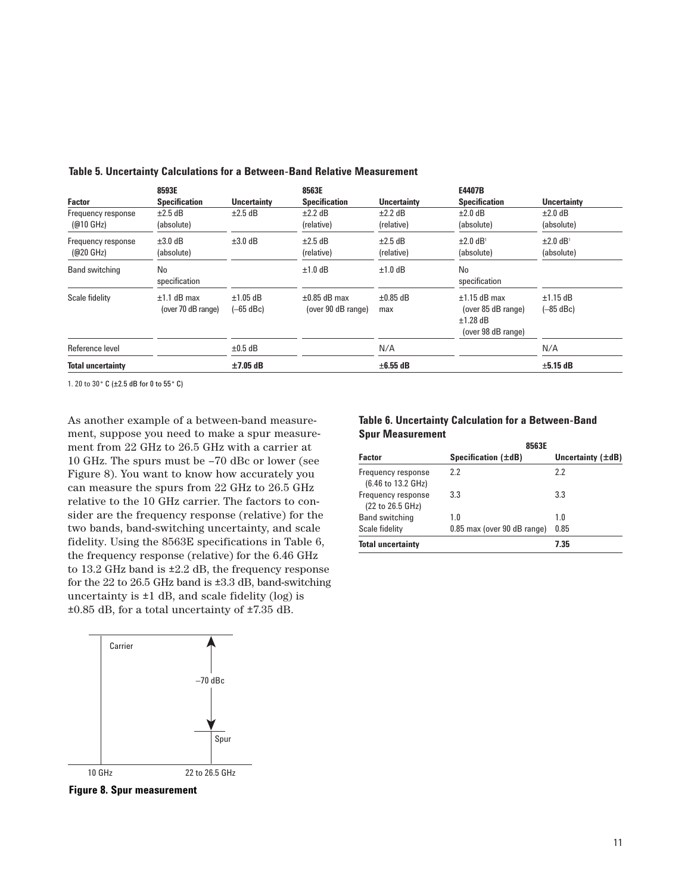|                                           | 8593E                               |                              | 8563E                                   |                            | E4407B                                                                   |                                         |
|-------------------------------------------|-------------------------------------|------------------------------|-----------------------------------------|----------------------------|--------------------------------------------------------------------------|-----------------------------------------|
| <b>Factor</b>                             | <b>Specification</b>                | <b>Uncertainty</b>           | <b>Specification</b>                    | <b>Uncertainty</b>         | <b>Specification</b>                                                     | <b>Uncertainty</b>                      |
| Frequency response<br>$(@10 \text{ GHz})$ | $\pm 2.5$ dB<br>(absolute)          | $\pm 2.5$ dB                 | $\pm 2.2$ dB<br>(relative)              | $±2.2$ dB<br>(relative)    | $\pm 2.0$ dB<br>(absolute)                                               | $\pm 2.0$ dB<br>(absolute)              |
| Frequency response<br>$(Q20 \text{ GHz})$ | $\pm 3.0$ dB<br>(absolute)          | $\pm 3.0$ dB                 | $\pm 2.5$ dB<br>(relative)              | $\pm 2.5$ dB<br>(relative) | $\pm 2.0$ dB <sup>1</sup><br>(absolute)                                  | $\pm 2.0$ dB <sup>1</sup><br>(absolute) |
| <b>Band switching</b>                     | No<br>specification                 |                              | $±1.0$ dB                               | $±1.0$ dB                  | No<br>specification                                                      |                                         |
| Scale fidelity                            | $±1.1$ dB max<br>(over 70 dB range) | $\pm 1.05$ dB<br>$(-65$ dBc) | $\pm 0.85$ dB max<br>(over 90 dB range) | $\pm 0.85$ dB<br>max       | $±1.15$ dB max<br>(over 85 dB range)<br>$±1.28$ dB<br>(over 98 dB range) | $±1.15$ dB<br>$(-85$ dBc)               |
| Reference level                           |                                     | $\pm 0.5$ dB                 |                                         | N/A                        |                                                                          | N/A                                     |
| <b>Total uncertainty</b>                  |                                     | $±7.05$ dB                   |                                         | $\pm 6.55$ dB              |                                                                          | $\pm 5.15$ dB                           |

**Table 5. Uncertainty Calculations for a Between-Band Relative Measurement**

1. 20 to 30° C (±2.5 dB for 0 to 55° C)

As another example of a between-band measurement, suppose you need to make a spur measurement from 22 GHz to 26.5 GHz with a carrier at 10 GHz. The spurs must be –70 dBc or lower (see Figure 8). You want to know how accurately you can measure the spurs from 22 GHz to 26.5 GHz relative to the 10 GHz carrier. The factors to consider are the frequency response (relative) for the two bands, band-switching uncertainty, and scale fidelity. Using the 8563E specifications in Table 6, the frequency response (relative) for the 6.46 GHz to 13.2 GHz band is ±2.2 dB, the frequency response for the 22 to 26.5 GHz band is ±3.3 dB, band-switching uncertainty is  $\pm 1$  dB, and scale fidelity (log) is ±0.85 dB, for a total uncertainty of ±7.35 dB.



**Figure 8. Spur measurement**

### **Table 6. Uncertainty Calculation for a Between-Band Spur Measurement**

| 8563E                       |                        |  |
|-----------------------------|------------------------|--|
| Specification $(\pm dB)$    | Uncertainty $(\pm dB)$ |  |
| 2.2                         | 2.2                    |  |
| 3.3                         | 3.3                    |  |
| 1.0                         | 1.0                    |  |
| 0.85 max (over 90 dB range) | 0.85                   |  |
|                             | 7.35                   |  |
|                             |                        |  |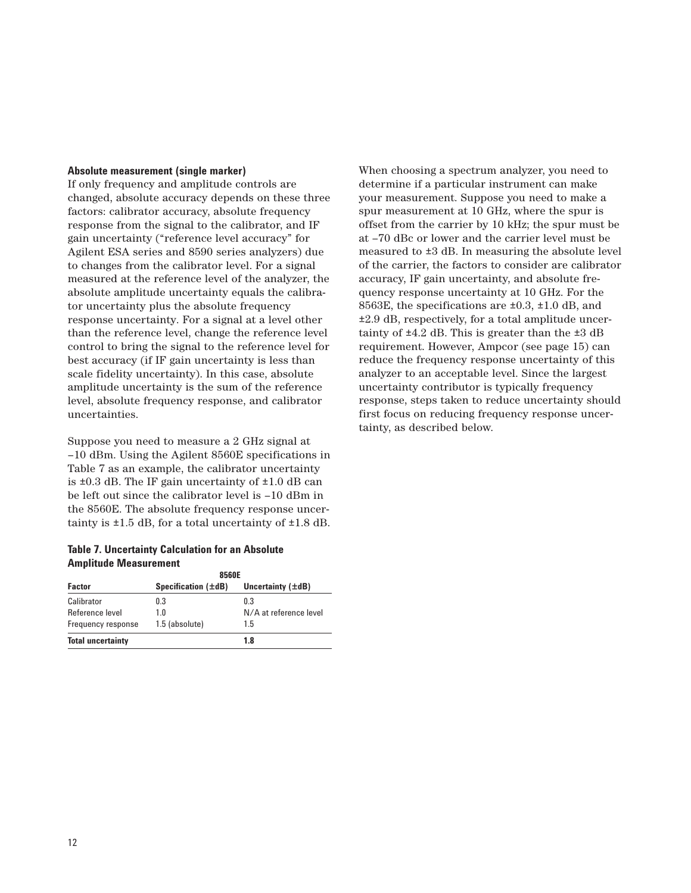#### **Absolute measurement (single marker)**

If only frequency and amplitude controls are changed, absolute accuracy depends on these three factors: calibrator accuracy, absolute frequency response from the signal to the calibrator, and IF gain uncertainty ("reference level accuracy" for Agilent ESA series and 8590 series analyzers) due to changes from the calibrator level. For a signal measured at the reference level of the analyzer, the absolute amplitude uncertainty equals the calibrator uncertainty plus the absolute frequency response uncertainty. For a signal at a level other than the reference level, change the reference level control to bring the signal to the reference level for best accuracy (if IF gain uncertainty is less than scale fidelity uncertainty). In this case, absolute amplitude uncertainty is the sum of the reference level, absolute frequency response, and calibrator uncertainties.

Suppose you need to measure a 2 GHz signal at –10 dBm. Using the Agilent 8560E specifications in Table 7 as an example, the calibrator uncertainty is  $\pm 0.3$  dB. The IF gain uncertainty of  $\pm 1.0$  dB can be left out since the calibrator level is –10 dBm in the 8560E. The absolute frequency response uncertainty is  $\pm 1.5$  dB, for a total uncertainty of  $\pm 1.8$  dB.

#### **Table 7. Uncertainty Calculation for an Absolute Amplitude Measurement**

|                          | 8560E                    |                        |  |
|--------------------------|--------------------------|------------------------|--|
| <b>Factor</b>            | Specification $(\pm dB)$ | Uncertainty $(\pm dB)$ |  |
| Calibrator               | 0.3                      | 03                     |  |
| Reference level          | 1 0                      | N/A at reference level |  |
| Frequency response       | 1.5 (absolute)           | 1.5                    |  |
| <b>Total uncertainty</b> |                          | 1.8                    |  |

When choosing a spectrum analyzer, you need to determine if a particular instrument can make your measurement. Suppose you need to make a spur measurement at 10 GHz, where the spur is offset from the carrier by 10 kHz; the spur must be at –70 dBc or lower and the carrier level must be measured to ±3 dB. In measuring the absolute level of the carrier, the factors to consider are calibrator accuracy, IF gain uncertainty, and absolute frequency response uncertainty at 10 GHz. For the 8563E, the specifications are ±0.3, ±1.0 dB, and ±2.9 dB, respectively, for a total amplitude uncertainty of  $\pm 4.2$  dB. This is greater than the  $\pm 3$  dB requirement. However, Ampcor (see page 15) can reduce the frequency response uncertainty of this analyzer to an acceptable level. Since the largest uncertainty contributor is typically frequency response, steps taken to reduce uncertainty should first focus on reducing frequency response uncertainty, as described below.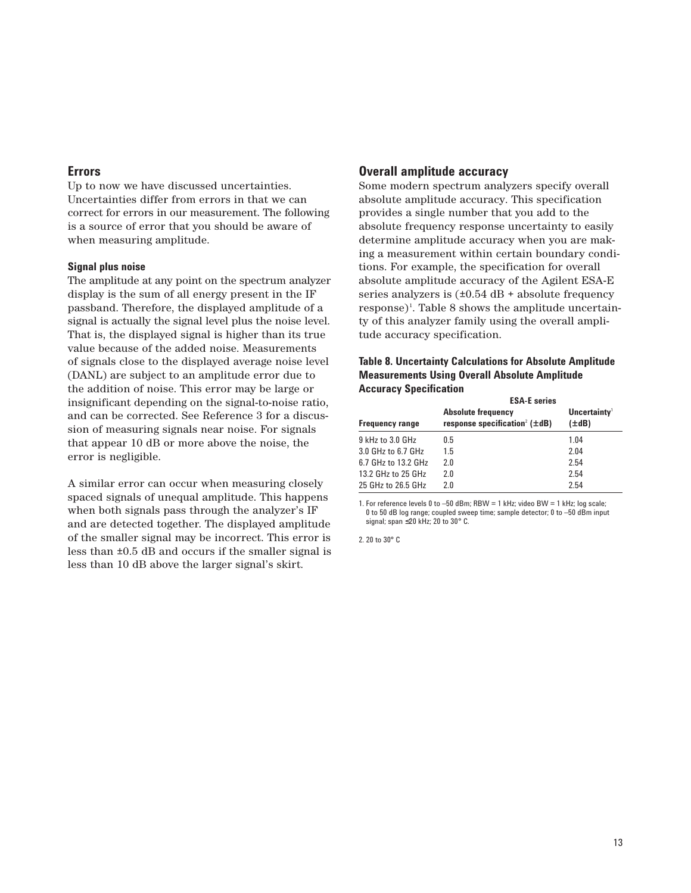### **Errors**

Up to now we have discussed uncertainties. Uncertainties differ from errors in that we can correct for errors in our measurement. The following is a source of error that you should be aware of when measuring amplitude.

#### **Signal plus noise**

The amplitude at any point on the spectrum analyzer display is the sum of all energy present in the IF passband. Therefore, the displayed amplitude of a signal is actually the signal level plus the noise level. That is, the displayed signal is higher than its true value because of the added noise. Measurements of signals close to the displayed average noise level (DANL) are subject to an amplitude error due to the addition of noise. This error may be large or insignificant depending on the signal-to-noise ratio, and can be corrected. See Reference 3 for a discussion of measuring signals near noise. For signals that appear 10 dB or more above the noise, the error is negligible.

A similar error can occur when measuring closely spaced signals of unequal amplitude. This happens when both signals pass through the analyzer's IF and are detected together. The displayed amplitude of the smaller signal may be incorrect. This error is less than ±0.5 dB and occurs if the smaller signal is less than 10 dB above the larger signal's skirt.

#### **Overall amplitude accuracy**

Some modern spectrum analyzers specify overall absolute amplitude accuracy. This specification provides a single number that you add to the absolute frequency response uncertainty to easily determine amplitude accuracy when you are making a measurement within certain boundary conditions. For example, the specification for overall absolute amplitude accuracy of the Agilent ESA-E series analyzers is  $(\pm 0.54 \text{ dB} + \text{absolute frequency})$ response)<sup>1</sup>. Table 8 shows the amplitude uncertainty of this analyzer family using the overall amplitude accuracy specification.

#### **Table 8. Uncertainty Calculations for Absolute Amplitude Measurements Using Overall Absolute Amplitude Accuracy Specification**

| <b>ESA-E</b> series                                                          |                                        |  |
|------------------------------------------------------------------------------|----------------------------------------|--|
| <b>Absolute frequency</b><br>response specification <sup>2</sup> ( $\pm$ dB) | Uncertainty <sup>1</sup><br>$(\pm dB)$ |  |
| 0.5                                                                          | 1.04                                   |  |
| 1.5                                                                          | 2.04                                   |  |
| 2.0                                                                          | 2.54                                   |  |
| 2.0                                                                          | 2.54                                   |  |
| 2.0                                                                          | 2.54                                   |  |
|                                                                              |                                        |  |

1. For reference levels 0 to –50 dBm; RBW = 1 kHz; video BW = 1 kHz; log scale; 0 to 50 dB log range; coupled sweep time; sample detector; 0 to –50 dBm input signal; span ≤20 kHz; 20 to 30° C.

2. 20 to 30° C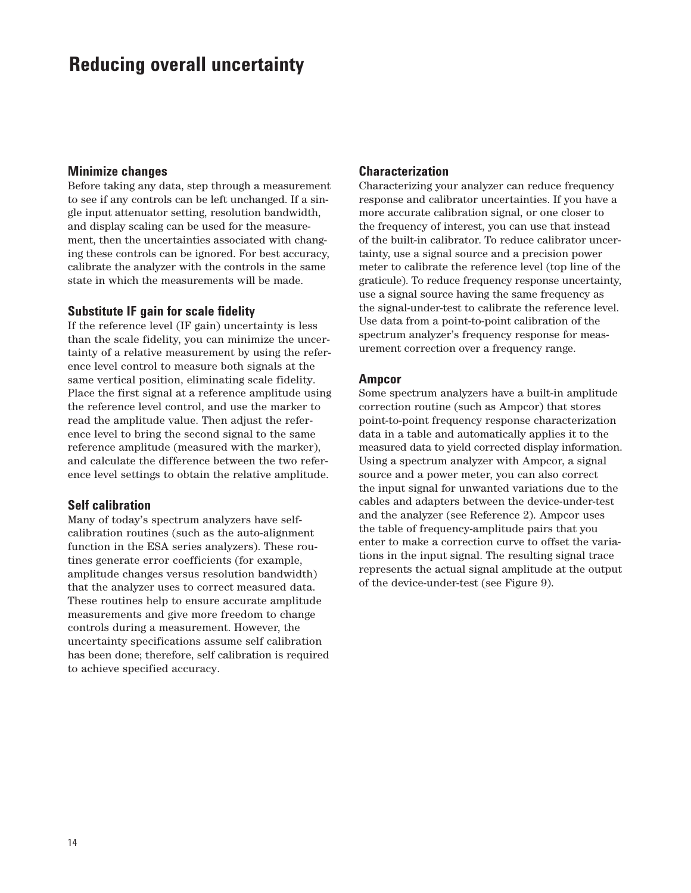# **Reducing overall uncertainty**

#### **Minimize changes**

Before taking any data, step through a measurement to see if any controls can be left unchanged. If a single input attenuator setting, resolution bandwidth, and display scaling can be used for the measurement, then the uncertainties associated with changing these controls can be ignored. For best accuracy, calibrate the analyzer with the controls in the same state in which the measurements will be made.

# **Substitute IF gain for scale fidelity**

If the reference level (IF gain) uncertainty is less than the scale fidelity, you can minimize the uncertainty of a relative measurement by using the reference level control to measure both signals at the same vertical position, eliminating scale fidelity. Place the first signal at a reference amplitude using the reference level control, and use the marker to read the amplitude value. Then adjust the reference level to bring the second signal to the same reference amplitude (measured with the marker), and calculate the difference between the two reference level settings to obtain the relative amplitude.

# **Self calibration**

Many of today's spectrum analyzers have selfcalibration routines (such as the auto-alignment function in the ESA series analyzers). These routines generate error coefficients (for example, amplitude changes versus resolution bandwidth) that the analyzer uses to correct measured data. These routines help to ensure accurate amplitude measurements and give more freedom to change controls during a measurement. However, the uncertainty specifications assume self calibration has been done; therefore, self calibration is required to achieve specified accuracy.

# **Characterization**

Characterizing your analyzer can reduce frequency response and calibrator uncertainties. If you have a more accurate calibration signal, or one closer to the frequency of interest, you can use that instead of the built-in calibrator. To reduce calibrator uncertainty, use a signal source and a precision power meter to calibrate the reference level (top line of the graticule). To reduce frequency response uncertainty, use a signal source having the same frequency as the signal-under-test to calibrate the reference level. Use data from a point-to-point calibration of the spectrum analyzer's frequency response for measurement correction over a frequency range.

## **Ampcor**

Some spectrum analyzers have a built-in amplitude correction routine (such as Ampcor) that stores point-to-point frequency response characterization data in a table and automatically applies it to the measured data to yield corrected display information. Using a spectrum analyzer with Ampcor, a signal source and a power meter, you can also correct the input signal for unwanted variations due to the cables and adapters between the device-under-test and the analyzer (see Reference 2). Ampcor uses the table of frequency-amplitude pairs that you enter to make a correction curve to offset the variations in the input signal. The resulting signal trace represents the actual signal amplitude at the output of the device-under-test (see Figure 9).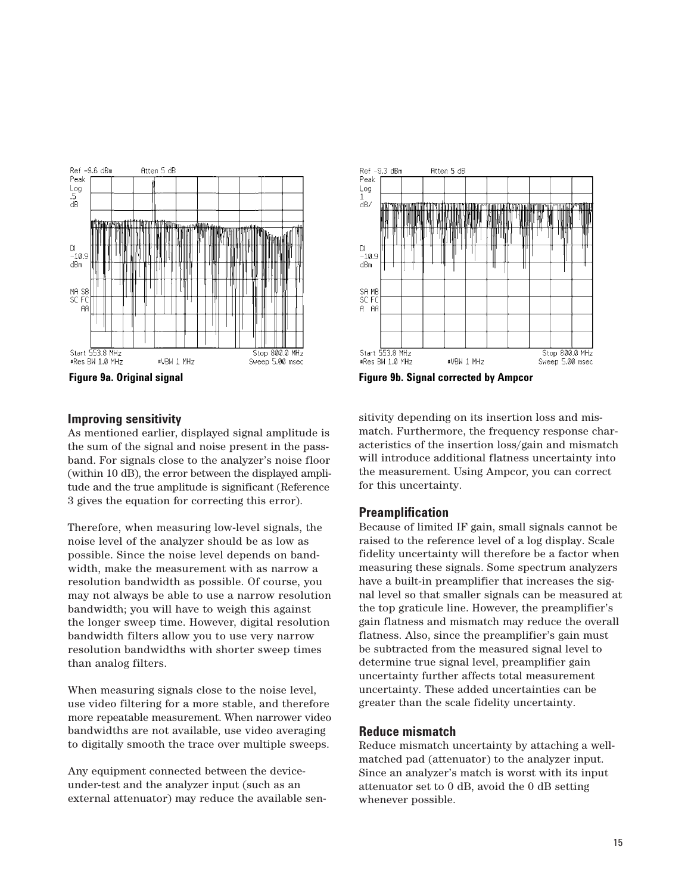

## **Improving sensitivity**

As mentioned earlier, displayed signal amplitude is the sum of the signal and noise present in the passband. For signals close to the analyzer's noise floor (within 10 dB), the error between the displayed amplitude and the true amplitude is significant (Reference 3 gives the equation for correcting this error).

Therefore, when measuring low-level signals, the noise level of the analyzer should be as low as possible. Since the noise level depends on bandwidth, make the measurement with as narrow a resolution bandwidth as possible. Of course, you may not always be able to use a narrow resolution bandwidth; you will have to weigh this against the longer sweep time. However, digital resolution bandwidth filters allow you to use very narrow resolution bandwidths with shorter sweep times than analog filters.

When measuring signals close to the noise level, use video filtering for a more stable, and therefore more repeatable measurement. When narrower video bandwidths are not available, use video averaging to digitally smooth the trace over multiple sweeps.

Any equipment connected between the deviceunder-test and the analyzer input (such as an external attenuator) may reduce the available sen-



sitivity depending on its insertion loss and mismatch. Furthermore, the frequency response characteristics of the insertion loss/gain and mismatch will introduce additional flatness uncertainty into the measurement. Using Ampcor, you can correct for this uncertainty.

# **Preamplification**

Because of limited IF gain, small signals cannot be raised to the reference level of a log display. Scale fidelity uncertainty will therefore be a factor when measuring these signals. Some spectrum analyzers have a built-in preamplifier that increases the signal level so that smaller signals can be measured at the top graticule line. However, the preamplifier's gain flatness and mismatch may reduce the overall flatness. Also, since the preamplifier's gain must be subtracted from the measured signal level to determine true signal level, preamplifier gain uncertainty further affects total measurement uncertainty. These added uncertainties can be greater than the scale fidelity uncertainty.

## **Reduce mismatch**

Reduce mismatch uncertainty by attaching a wellmatched pad (attenuator) to the analyzer input. Since an analyzer's match is worst with its input attenuator set to 0 dB, avoid the 0 dB setting whenever possible.